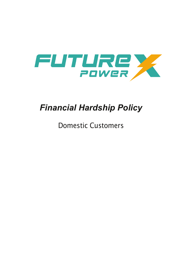

# *Financial Hardship Policy*

Domestic Customers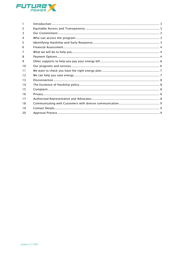

| 1             |  |
|---------------|--|
| $\mathcal{P}$ |  |
| 3             |  |
| 4             |  |
| 5             |  |
| 6             |  |
| 7             |  |
| 8             |  |
| 9             |  |
| 10            |  |
| 11            |  |
| 12            |  |
| 13            |  |
| 14            |  |
| 15            |  |
| 16            |  |
| 17            |  |
| 18            |  |
| 19            |  |
| 20            |  |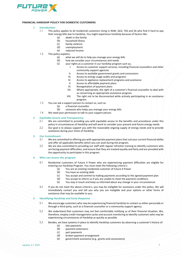

### <span id="page-2-0"></span>**FINANCIAL HARDSHIP POLICY FOR DOMESTIC CUSTOMERS**

### **1 Introduction**

- 1.1 This policy applies to all residential customers living in NSW, QLD, TAS and SA who find it hard to pay their energy bills due to hardship. You might experience hardship because of factors like:
	- (a) death in the family<br>(b) household illness
	- household illness
	- (c) family violence<br>(d) unemployment
	- unemployment
	- (e) reduced income
- 1.2 This policy explains:
	- (a) what we will do to help you manage your energy bills
	- (b) how we consider your circumstances and needs
	- (c) your rights as a customer in our hardship program such as;.
		- I. Access to customer support services, including financial counsellors and other community support agencies
		- II. Access to available government grants and concessions
		- III. Access to energy usage audits and programs  $\overline{N}$
		- IV. Access to appliance replacement programs and assistance<br>V. Access to affordable payment plans
		- Access to affordable payment plans
		- VI. Renegotiation of payment plans<br>VII. Where appropriate, the right of
		- Where appropriate, the right of a customer's financial counsellor to deal with us concerning an appropriate assistance program.
		- VIII. The right not to be disconnected while actively participating in an assistance program.
- 1.3 You can ask a support person to contact us, such as:
	- (a) a financial counsellor
	- (b) someone who helps you manage your energy bills
- 1.4 We need your permission to talk to your support person.

### <span id="page-2-1"></span>**2 Equitable Access and Transparency**

- 2.1 We are committed to providing you with equitable access to the benefits and procedures under this policy in circumstances of Hardship and will work to consider your present and future energy needs.
- 2.2 Our goal is to always support you with the reasonable ongoing supply of energy needs and to provide assistance during your times of Hardship.

### <span id="page-2-2"></span>**3 Our Commitment**

- 3.1 We are committed to offering you with appropriate payment plans that suit your current financial ability and offer all applicable benefits which you can avail during the program.
- 3.2 We are also committed to providing our staff with regular refresher training to identify customers who are facing payment difficulties, and ensure that they are treated equally and fairly and are provided with the opportunity to participate in this program.

### <span id="page-2-3"></span>**4 Who can access the program**

- 4.1 Residential customers of Future X Power who are experiencing payment difficulties are eligible for entering our Hardship Program. You must meet the following criteria's:<br>(a) You are an existing residential customer of Future X Pow
	- You are an existing residential customer of Future X Power
	- (b) You have an existing debt<br>(c) You accept and commit to
	- You accept and commit to making payments according to the agreed payment plan
	- (d) You accept to inform us if you are unable to meet the payment conditions
	- (e) You stay in touch and keep us informed about any change in your circumstances
- 4.2 If you do not meet the above criteria's, you may be ineligible for assistance under this policy. We will immediately contact you and tell you why you are ineligible and your options or other forms of assistance that may be available to you.

### <span id="page-2-4"></span>**5 Identifying Hardship and Early Response**

- 5.1 We encourage customers who may be experiencing financial hardship to contact us either personally or through a third party, such as a financial counsellor or a community support agency.
- 5.2 We understand that customers may not feel comfortable notifying us of their financial situation. We, therefore, employ credit management cycles and account monitoring to identify customers who may be experiencing circumstances of Hardship as quickly as possible.
- 5.3 Besides, we have systems in place to identify Hardship customers by observing a customer's history of:
	- (a) late payments<br>(b) payment exter
		- payment extensions
	- (c) part payments
	- (d) broken payment arrangement
	- (e) government assistance (e.g., grants and concessions)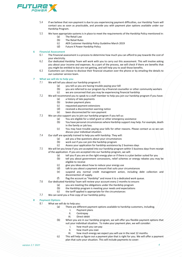

- 5.4 If we believe that non-payment is due to you experiencing payment difficulties, our Hardship Team will contact you as soon as practicable, and provide you with payment plan options available under our Hardship Program.
- 5.5 We have appropriate systems is in place to meet the requirements of the Hardship Policy mentioned in:
	- (a) The Retail Law<br>(b) The Retail Rule
		-
	- (b) The Retail Rules<br>(c) AER Customer H (c) AER Customer Hardship Policy Guideline March 2019
	- Future X Power Hardship Policy

## <span id="page-3-0"></span>**6 Financial Assessment**

- The Financial assessment is a process to determine how much you can afford to pay towards the cost of your electricity.
- 6.2 Our dedicated Hardship Team will work with you to carry out this assessment. This will involve asking you about your income and expenses. As a part of the process, we will check if there are benefits that you might be entitled to but are not getting, and will help you to avail those benefits.
- 6.3 Customers can choose to disclose their financial situation over the phone or by emailing the details to our customer service team.

# <span id="page-3-1"></span>**7 What we will do to help you**

- We will tell you about our hardship program if:
	- (a) you tell us you are having trouble paying your bill<br>(b) you are referred to our program by a financial cou
	- (b) you are referred to our program by a financial counsellor or other community workers  $(c)$  we are concerned that you may be experiencing financial hardship we are concerned that you may be experiencing financial hardship
- 7.2 We will recommend you to speak to a staff member to help you join our hardship program if you have:
	- (a) a history of late payments<br>(b) broken payment plans
	-
	- (b) broken payment plans<br>(c) requested payment ex
	- (c) requested payment extensions<br>(d) received a disconnection warning received a disconnection warning notice
	- (e) been disconnected for non-payment
- 7.3 We can also support you to join our hardship program if you tell us:
	- (a) You are eligible for a relief grant or other emergency assistance
	- (b) You have personal circumstances where Hardship support may help. For example, death in the family or job loss.
	- (c) You may have trouble paying your bills for other reasons. Please contact us so we can discuss your individual situation.
- 7.4 Our staff are specially trained to help you with hardship. They will:
	- (a) ask you a few questions about your circumstances
	- (b) work out if you can join the hardship program
	- (c) Assess your application for hardship assistance by 2 business days
- 7.5 We will let you know if you are accepted into our hardship program within 5 business days from receipt of the application. If you are accepted into our hardship program, we will:
	-
	- (a) tell you if you are on the right energy plan or if there is a plan better suited for you<br>(b) tell you about government concessions, relief schemes or energy rebates you ma tell you about government concessions, relief schemes or energy rebates you may be eligible to receive
	-
	- (c) give you ideas about how to reduce your energy use<br>(d) talk to you about a payment amount that suits your talk to you about a payment amount that suits your circumstances
	- (e) suspend any normal credit management action, including debt collection and disconnection of supply.
	- (f) flag the account as "Hardship" and move it to a dedicated work queue.
- 7.6 Our dedicated Hardship Team will review your account every 2 months to ensure:
	- (a) you are meeting the obligations under the Hardship program
	- (b) the Hardship program is meeting your needs and expectations  $(c)$  the tariff applied is appropriate for the circumstances
	- the tariff applied is appropriate for the circumstances
- 7.7 We can send you a free copy of our hardship policy.

## <span id="page-3-2"></span>**8 Payment Options**

- What we will do to help you:
	- (a) There are different payment options available to hardship customers, including;
		- I. Payment plans<br>II. Centrepay
		- Centrepay
		- III. Direct debit
	- (b) When you are in our hardship program, we will offer you flexible payment options that suit your individual situation. To make your payment plan, we will consider:
		- I. how much you can pay<br>II. how much you owe
		- how much you owe
		- III. how much energy we expect you will use in the next 12 months.
	- (c) This will help us figure out a payment plan that is right for you. We will offer a payment plan that suits your situation. This will include payments to cover: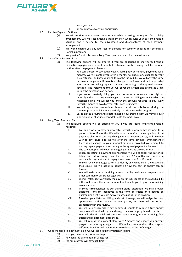

- I. what you owe
- an amount to cover your energy use.
- 8.2 Flexible Payment Options.
	- (a) We will consider your current circumstances while assessing the request for hardship arrangement. We will recommend a payment plan which suits your current financial situation and if agreed to, the advantages and disadvantages of each payment arrangement.
	- (b) We won't charge you any late fees or demand for security deposits for entering a Hardship program.
	- (c) We provide Short Term and Long-Term payment plans for the customers.
- 8.3 Short-Term Payment Plan<br>(a) The follov
	- The following options will be offered if you are experiencing short-term financial difficulties in paying your current dues, but customers can start paying the billed amount on time after the payment plan ends:
		- I. You can choose to pay equal weekly, fortnightly or monthly payments for 3 months. We will contact you after 3 months to discuss any changes to your circumstances, and how you wish to pay the future bills. We will offer the same payment arrangement if there is no change to the financial situation provided you commit to making regular payments according to the agreed payment schedule. The instalment amount will cover the arrears and estimated usage during the payment plan period.
		- II. If you are on quarterly billing, you can choose to pay once every fortnight or monthly without making any changes to the current billing cycle. Based on the historical billing, we will let you know the amount required to pay every fortnight/month to avoid arrears after each billing cycle.
		- III. We will apply the pay-on-time discount on all the bills issued during the payment plan period if you are actively participating in the program.
		- IV. Based on the circumstances determined by our trained staff, we may roll over a portion or all of your current debt onto the next invoice.
- 8.4 Long-Term Payment Plan
	- (a) The following options will be offered to you if you are facing long-term financial hardship:
		- I. You can choose to pay equal weekly, fortnightly or monthly payment for a period of 6 to 12 months. We will contact you after the completion of the payment plan to discuss any changes to your circumstances, and how you wish to pay future bills. We will offer the same payment arrangement if there is no change to your financial situation, provided you commit to making regular payments according to the agreed payment schedule.
		- II. The payment plan will cover the ongoing usage and arrears amount.<br>III. When accenting a nayment arrangement, we will consider the hi
		- When accepting a payment arrangement, we will consider the historical billing and future energy cost for the next 12 months and propose a reasonable payment plan to repay the arrears over 6 to 12 months.
		- IV. We will review the usage pattern to identify any variations in the usage and their cause. We will assist in identifying how the cost of energy can be lowered.
		- V. We will assist you in obtaining access to utility assistance programs, and other community assistance agencies.
		- VI. We will retrospectively apply the pay-on-time discounts on the overdue bills if this will reduce the arrears amount and enable you to pay the remaining arrears amount.
		- VII. In some circumstances at our trained staffs' discretion, we may provide additional 'one-off' incentives in the form of credits or discounts on outstanding debt if you are actively participating in the program.
		- VIII. Based on your historical billing and cost of energy, we will assign the most appropriate tariff to reduce the energy cost, and there will be no cost associated with this review.
		- IX. We will also assign higher pay-on-time discounts to reduce future energy costs. We will work with you and assign the most appropriate discounts.
		- X. We will offer financial assistance to reduce energy usage, including field audits and replacement appliances.
		- XI. We will review the payment plan every 2 months and update you on your progress in reducing energy costs. We will advise you about the usage at different time intervals and options to reduce the cost of energy.
- 8.5 Once we agree to a payment plan, we will send you information including:
	- (a) who you can contact for more help
		- (b) how long the payment plan will go for
		- (c) the amount you will pay each time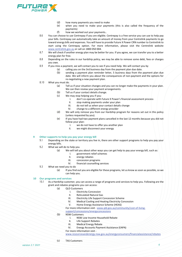

- (d) how many payments you need to make
- (e) when you need to make your payments (this is also called the frequency of the payments)
- (f) how we worked out your payments..
- 8.6 You can choose to use Centrepay if you are eligible. Centrepay is a free service you can use to help pay your bills. Centrepay can automatically take an amount of money from your Centrelink payments to go toward energy bills and expenses. You will have to provide Future X Power CRN number to Centrelink to start using the Centrepay option. For more information, please visit the Centrelink website [www.centrelink.gov.au](http://www.centrelink.gov.au/) or call on 1800 050 004.
- 8.7 We will check if another energy plan may be better for you. If you agree, we can transfer you to a better energy plan for free.
- 8.8 Depending on the rules in our hardship policy, we may be able to remove some debt, fees or charges you owe.
- 8.9 If you miss a payment, we will contact you to see if you need help. We will contact you by
	- (a) calling you on the 3rd business day from the payment plan due date.
	- (b) sending a payment plan reminder letter, 5 business days from the payment plan due date. We will inform you about the consequences of non-payment and the options for re-negotiating a new payment plan.
- 8.10 What you must do.
	- (a) Tell us if your situation changes and you can no longer make the payments in your plan. We can then review your payment arrangements.
	- (b) Tell us if your contact details change.
	- (c) We may stop helping you if you:
		- I. don't co-operate with Future X Power's financial assessment process<br>II. stop making payments under your plan
		- II. stop making payments under your plan<br>III. do not tell us when your contact details
		- III. do not tell us when your contact details change<br>IV. change to a different energy provider
			- change to a different energy provider
	- (d) We will only remove you from our Hardship program for reasons set out in this policy (unless requested by you).
	- (e) If you have had two payment plans cancelled in the last 12 months because you did not follow your plan:<br>L we do r
		- I. we do not have to offer you another plan<br>II. we might disconnect your energy
		- we might disconnect your energy

### <span id="page-5-0"></span>**9 Other supports to help you pay your energy bill**

- 9.1 Depending on the state or territory you live in, there are other support programs to help you pay your energy bills.
- 9.2 What we will do to help you
	- (a) We will tell you about other ways you can get help to pay your energy bill, such as:
		- I. government relief schemes
		- II. energy rebates
		- III. concession programs
		- IV. financial counselling services
- 9.3 What we need you to do
	- (a) If you find out you are eligible for these programs, let us know as soon as possible, so we can help you.

### <span id="page-5-1"></span>**10 Our programs and services**

10.1 As a Hardship customer, you can access a range of programs and services to help you. Following are the grant and rebates programs you can access:

- (a) QLD Customers
	- I. Electricity Concession
		- II. Reticulated Natural Gas<br>III. Electricity Life Support C
		- Electricity Life Support Concession Scheme
		- IV. Medical Cooling and Heating Electricity Concession
		- V. Home Energy Assistance Scheme (HEAS)
	- For more information visit [www.qld.gov.au/community/cost-of-living-](http://www.qld.gov.au/community/cost-of-living-support/concessions/energyconcessions)
	- [support/concessions/energyconcessions](http://www.qld.gov.au/community/cost-of-living-support/concessions/energyconcessions)
- (b) NSW Customers
	- I. NSW Low Income Household Rebate
	- II. Life Support Rebates
	- III. Medical Energy Rebate
	- IV. Energy Accounts Payment Assistance (EAPA)
	- For more information visit -

[www.resourcesandenergy.nsw.gov.au/energyconsumers/financialassistance/rebates](http://www.resourcesandenergy.nsw.gov.au/energyconsumers/financialassistance/rebates)

(c) TAS Customers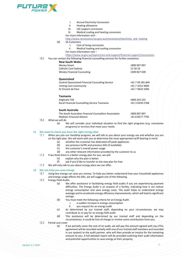

| I. |  |  | <b>Annual Electricity Concession</b> |
|----|--|--|--------------------------------------|
|----|--|--|--------------------------------------|

- II. Heating allowance<br>III. Life support conces
- III. Life support concession<br>IV. Medical cooling and hea
	- Medical cooling and heating concession
- For more information visit -

[http://www.concessions.tas.gov.au/concessions/electricity\\_and\\_heating](http://www.concessions.tas.gov.au/concessions/electricity_and_heating)

(d) SA Customers

- I. Cost of living concession<br>II. Medical heating and coo
	- Medical heating and cooling concession

For more information visit –

### <https://www.sa.gov.au/topics/care-and-support/financial-support/concessions>

10.2 You can contact the following financial counselling services for further assistance.

### **New South Wales**

| NEW SOULH WAIES                                        |                  |
|--------------------------------------------------------|------------------|
| <b>Money Smart</b>                                     | 1800 007 007     |
| Catholic Care Sydney                                   | 13 18 19         |
| <b>Wesley Financial Counseling</b>                     | 1300 827 638     |
| Queensland                                             |                  |
| <b>Central Queensland Financial Counseling Service</b> | +61 7 49 281 844 |
| Uniting Care Community                                 | +61 7 3253 4000  |
| St Vincent de Paul                                     | +61 7 3010 1096  |
| <b>Tasmania</b>                                        |                  |
| Anglicare TAS                                          | 1800 243 232     |
| Rural Financial Counselling Service Tasmania           | +61 3 6334 2768  |
| South Australia                                        |                  |
| The South Australian Financial Counsellors Association | 1800 007 007     |
| Medisec Financial Advisor                              | +61 8 8377 7795  |

- 10.3 What we will do
	- (a) We will consider your individual situation to find the right programs (e.g. concession programs) or services that meet your needs.

# <span id="page-6-0"></span>**11 We want to check you have the right energy plan**

- When you join our Hardship program, we will talk to you about your energy use and whether you are on the right plan. We will work with you to determine the most appropriate tariff bearing in mind:
	- (a) whether the customer has dedicated off-peak appliances<br>(b) any previous tariffs and previous bills (if available)
	- (b) any previous tariffs and previous bills (if available)  $(c)$  the customer's overall power usage
	- the customer's overall power usage
	- (d) any other relevant information provided by the customer to us
- 11.2 If we think there is a better energy plan for you, we will:<br>(e) explain why the plan is better
	- explain why the plan is better
	- (f) ask if you'd like to transfer to the new plan for free
- 11.3 We will only talk to you about energy plans we can offer.

### <span id="page-6-1"></span>**12 We can help you save energy**

- 12.1 Using less energy can save you money. To help you better understand how your household appliances and energy usage affects the bills, we will suggest one of the following.
- 12.2 Energy Field Audits
	- (a) We offer assistance in facilitating energy field audits if you are experiencing payment difficulties. The Energy Audit is an analysis of a facility, indicating how it can reduce energy consumption and save energy costs. The audit helps to understand energy wastage and to accelerate energy efficiency improvements, which will lead to significant savings.
	- (b) You must meet the following criteria for an Energy Audit:
		- I. a sudden increase in energy consumption
		- II. you request for an energy audit
	- (c) As determined by our trained staff, depending on your circumstances, we may contribute to or pay for an energy field audit.
	- (d) This assistance will be determined by our trained staff and depending on the circumstances, it could be free of charge or involve some contribution from you.
- 12.3 Partial cost cover
	- (a) If we partially cover the cost of an audit, we will pay the amount agreed with you (This agreement will be recorded verbally with one of our trained staff members and recorded in our system) to the audit partner, who will then provide an invoice for the remaining amount to you. A full detailed report will be provided outlining their audit information and potential opportunities to save energy at their property.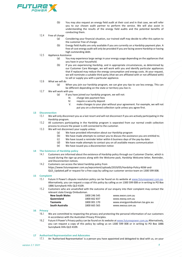

(b) You may also request an energy field audit at their cost and in that case, we will refer you to our chosen audit partner to perform the service. We will also assist in understanding the results of the energy field audits and the potential benefits of conducting them.

# 12.4 Free of charge<br>(a)

- Considering your financial situation, our trained staff may decide to offer this option to the customer free of charge.
- (b) Energy field Audits are only available if you are currently on a Hardship payment plan. A free of-cost energy audit will only be provided if you are facing severe Hardship or having high outstanding debt.
- 12.5 Appliance Assistance
	- (a) You may experience large swings in your energy usage depending on the appliances that you have in your household.
	- (b) If you are experiencing Hardship, and in appropriate circumstances, as determined by our Customer Care Manager, we will work with you and identify particular appliances that if replaced may reduce the energy consumption and energy costs. At your request, we will nominate a suitable third party (that we are affiliated with or not affiliated with) to sell or supply you with a particular appliance.

### 12.6 What we will do

- (a) When you join our hardship program, we can give you tips to use less energy. This can be different depending on the state or territory you live in.
- 12.7 We will work with you<br>(a) If you h
	- If you have joined our hardship program, we will not:
		- III. charge late payment fees
		- IV. require a security deposit
		- V. make changes to your plan without your agreement. For example, we will not put you on a shortened collection cycle unless you agree first.

## <span id="page-7-0"></span>**13 Disconnection**

- We will only disconnect you as a last resort and will not disconnect if you are actively participating in the Hardship program.
- 13.2 All customers participating in the Hardship program is separated from our normal credit collection process to ensure the power is still connected to the customer.
- 13.3 We will not disconnect your supply unless:
	- (a) We have provided information about our Hardship program
	- (b) We have made attempts to contact you to discuss the assistance you are entitled to.<br>(c) We have issued a reminder letter within 6 business days of the pay-by-date
	- (c) We have issued a reminder letter within 6 business days of the pay-by-date
	- (d) We have made attempts to contact you on all available means communication  $(e)$  We have issued you a disconnection notice
	- We have issued you a disconnection notice

### <span id="page-7-1"></span>**14 The Existence of Hardship policy**

- 14.1 Customers are informed about the existence of Hardship policy through our Customer Charter, which is issued during the sign-up process along with the Welcome pack, Hardship Welcome letter, Reminder, and Disconnection notices.
- 14.2 Customers can access the latest hardship policy from https://www.futurexpower.com.au/wpcontent/uploads/2019/05/Hardship-Policy-NSW-and-QLD\_Updated.pdf or request for a free copy by calling our customer service team on 1300 599 008.

### <span id="page-7-2"></span>**15 Complaint**

- 15.1 Future X Power's dispute resolution policy can be found on its website at [www.futurexpower.com.au.](http://www.futurexpower.com.au/) Alternatively, you can request a copy of this policy by calling us on 1300 599 008 or in writing to PO Box 1886 Sunnybank Hills QLD 4109.
- 15.2 Customers who are unsatisfied with the outcome of our enquiry into their complaint may contact the relevant state Energy Ombudsman.

| <b>New South Wales</b> | 1800 246 545 | www.ewon.com.au                |
|------------------------|--------------|--------------------------------|
| Queensland             | 1800 662 837 | www.ewog.com.au                |
| Tasmania               | 1800 001 170 | www.energyombudsman.tas.gov.au |
| South Australia        | 1800 665 565 | www.ewosa.com.au               |
|                        |              |                                |

### <span id="page-7-3"></span>**16 Privacy**

- 16.1 We are committed to respecting the privacy and protecting the personal information of our customers in accordance with the Australian Privacy Principles.
- 16.2 Future X Power's Privacy policy can be found on its website a[t www.futurexpower.com.au](http://www.futurexpower.com.au/) Alternatively, you can request a copy of this policy by calling us on 1300 599 008 or in writing to PO Box 1886 Sunnybank Hills QLD 4109.

#### <span id="page-7-4"></span>**17 Authorised Representative and Advocates**

17.1 An 'Authorised Representative' is a person you have appointed and delegated to deal with us, on your